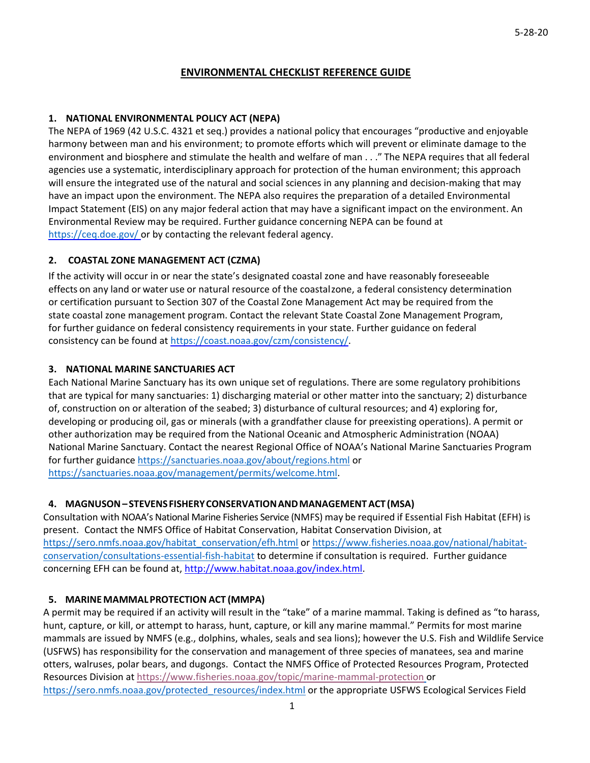## **ENVIRONMENTAL CHECKLIST REFERENCE GUIDE**

### **1. NATIONAL ENVIRONMENTAL POLICY ACT (NEPA)**

The NEPA of 1969 (42 U.S.C. 4321 et seq.) provides a national policy that encourages "productive and enjoyable harmony between man and his environment; to promote efforts which will prevent or eliminate damage to the environment and biosphere and stimulate the health and welfare of man . . ." The NEPA requires that all federal agencies use a systematic, interdisciplinary approach for protection of the human environment; this approach will ensure the integrated use of the natural and social sciences in any planning and decision‐making that may have an impact upon the environment. The NEPA also requires the preparation of a detailed Environmental Impact Statement (EIS) on any major federal action that may have a significant impact on the environment. An Environmental Review may be required. Further guidance concerning NEPA can be found at <https://ceq.doe.gov/> or by contacting the relevant federal agency.

## **2. COASTAL ZONE MANAGEMENT ACT (CZMA)**

If the activity will occur in or near the state's designated coastal zone and have reasonably foreseeable effects on any land or water use or natural resource of the coastalzone, a federal consistency determination or certification pursuant to Section 307 of the Coastal Zone Management Act may be required from the state coastal zone management program. Contact the relevant State Coastal Zone Management Program, for further guidance on federal consistency requirements in your state. Further guidance on federal consistency can be found at [https://coast.noaa.gov/czm/consistency/.](https://coast.noaa.gov/czm/consistency/)

### **3. NATIONAL MARINE SANCTUARIES ACT**

Each National Marine Sanctuary has its own unique set of regulations. There are some regulatory prohibitions that are typical for many sanctuaries: 1) discharging material or other matter into the sanctuary; 2) disturbance of, construction on or alteration of the seabed; 3) disturbance of cultural resources; and 4) exploring for, developing or producing oil, gas or minerals (with a grandfather clause for preexisting operations). A permit or other authorization may be required from the National Oceanic and Atmospheric Administration (NOAA) National Marine Sanctuary. Contact the nearest Regional Office of NOAA's National Marine Sanctuaries Program for further guidance<https://sanctuaries.noaa.gov/about/regions.html> or [https://sanctuaries.noaa.gov/management/permits/welcome.html.](https://sanctuaries.noaa.gov/management/permits/welcome.html)

### **4. MAGNUSON– STEVENSFISHERYCONSERVATIONANDMANAGEMENTACT (MSA)**

Consultation with NOAA's National Marine Fisheries Service (NMFS) may be required if Essential Fish Habitat (EFH) is present. Contact the NMFS Office of Habitat Conservation, Habitat Conservation Division, at [https://sero.nmfs.noaa.gov/habitat\\_conservation/efh.html](https://sero.nmfs.noaa.gov/habitat_conservation/efh.html) or [https://www.fisheries.noaa.gov/national/habitat](https://www.fisheries.noaa.gov/national/habitat-conservation/consultations-essential-fish-habitat)[conservation/consultations-essential-fish-habitat](https://www.fisheries.noaa.gov/national/habitat-conservation/consultations-essential-fish-habitat) to determine if consultation is required. Further guidance concerning EFH can be found at, [http://www.habitat.noaa.gov/index.html.](http://www.habitat.noaa.gov/index.html)

### **5. MARINEMAMMALPROTECTION ACT (MMPA)**

A permit may be required if an activity will result in the "take" of a marine mammal. Taking is defined as "to harass, hunt, capture, or kill, or attempt to harass, hunt, capture, or kill any marine mammal." Permits for most marine mammals are issued by NMFS (e.g., dolphins, whales, seals and sea lions); however the U.S. Fish and Wildlife Service (USFWS) has responsibility for the conservation and management of three species of manatees, sea and marine otters, walruses, polar bears, and dugongs. Contact the NMFS Office of Protected Resources Program, Protected Resources Division at <https://www.fisheries.noaa.gov/topic/marine-mammal-protection> or [https://sero.nmfs.noaa.gov/protected\\_resources/index.html](https://sero.nmfs.noaa.gov/protected_resources/index.html) or the appropriate USFWS Ecological Services Field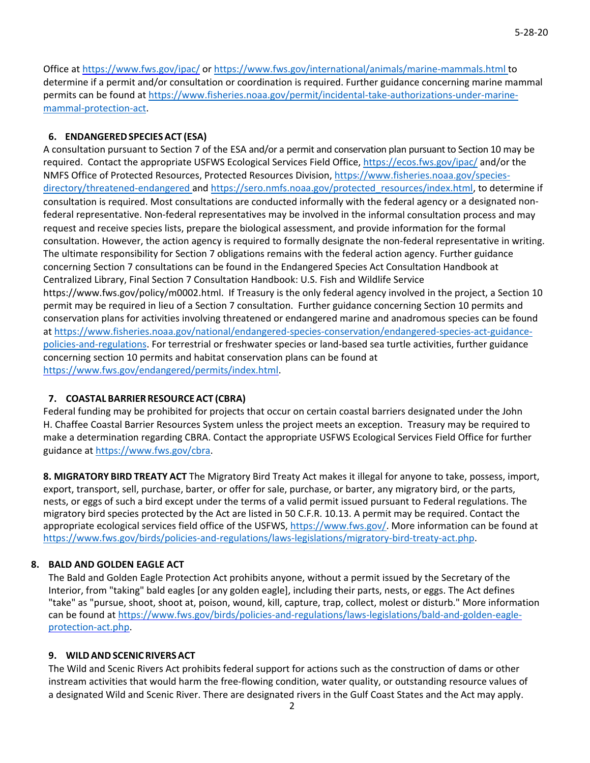Office at <https://www.fws.gov/ipac/> or <https://www.fws.gov/international/animals/marine-mammals.html> to determine if a permit and/or consultation or coordination is required. Further guidance concerning marine mammal permits can be found at [https://www.fisheries.noaa.gov/permit/incidental-take-authorizations-under-marine](https://www.fisheries.noaa.gov/permit/incidental-take-authorizations-under-marine-mammal-protection-act)[mammal-protection-act.](https://www.fisheries.noaa.gov/permit/incidental-take-authorizations-under-marine-mammal-protection-act)

## **6. ENDANGEREDSPECIESACT (ESA)**

A consultation pursuant to Section 7 of the ESA and/or a permit and conservation plan pursuant to Section 10 may be required. Contact the appropriate USFWS Ecological Services Field Office,<https://ecos.fws.gov/ipac/> and/or the NMFS Office of Protected Resources, Protected Resources Division, [https://www.fisheries.noaa.gov/species](https://www.fisheries.noaa.gov/species-directory/threatened-endangered)[directory/threatened-endangered](https://www.fisheries.noaa.gov/species-directory/threatened-endangered) and https://sero.nmfs.noaa.gov/protected resources/index.html, to determine if consultation is required. Most consultations are conducted informally with the federal agency or a designated non‐ federal representative. Non-federal representatives may be involved in the informal consultation process and may request and receive species lists, prepare the biological assessment, and provide information for the formal consultation. However, the action agency is required to formally designate the non‐federal representative in writing. The ultimate responsibility for Section 7 obligations remains with the federal action agency. Further guidance concerning Section 7 consultations can be found in the Endangered Species Act Consultation Handbook at Centralized Library, Final Section 7 Consultation Handbook: U.S. Fish and Wildlife Service https://www.fws.gov/policy/m0002.html. If Treasury is the only federal agency involved in the project, a Section 10 permit may be required in lieu of a Section 7 consultation. Further guidance concerning Section 10 permits and conservation plans for activities involving threatened or endangered marine and anadromous species can be found at [https://www.fisheries.noaa.gov/national/endangered-species-conservation/endangered-species-act-guidance](https://www.fisheries.noaa.gov/national/endangered-species-conservation/endangered-species-act-guidance-policies-and-regulations)[policies-and-regulations.](https://www.fisheries.noaa.gov/national/endangered-species-conservation/endangered-species-act-guidance-policies-and-regulations) For terrestrial or freshwater species or land‐based sea turtle activities, further guidance concerning section 10 permits and habitat conservation plans can be found at [https://www.fws.gov/endangered/permits/index.html.](https://www.fws.gov/endangered/permits/index.html)

## **7. COASTAL BARRIERRESOURCEACT (CBRA)**

Federal funding may be prohibited for projects that occur on certain coastal barriers designated under the John H. Chaffee Coastal Barrier Resources System unless the project meets an exception. Treasury may be required to make a determination regarding CBRA. Contact the appropriate USFWS Ecological Services Field Office for further guidance at [https://www.fws.gov/cbra.](https://www.fws.gov/cbra)

**8. MIGRATORY BIRD TREATY ACT** The Migratory Bird Treaty Act makes it illegal for anyone to take, possess, import, export, transport, sell, purchase, barter, or offer for sale, purchase, or barter, any migratory bird, or the parts, nests, or eggs of such a bird except under the terms of a valid permit issued pursuant to Federal regulations. The migratory bird species protected by the Act are listed in 50 C.F.R. 10.13. A permit may be required. Contact the appropriate ecological services field office of the USFWS, [https://www.fws.gov/.](https://www.fws.gov/) More information can be found at [https://www.fws.gov/birds/policies-and-regulations/laws-legislations/migratory-bird-treaty-act.php.](https://www.fws.gov/birds/policies-and-regulations/laws-legislations/migratory-bird-treaty-act.php)

### **8. BALD AND GOLDEN EAGLE ACT**

The Bald and Golden Eagle Protection Act prohibits anyone, without a permit issued by the Secretary of the Interior, from "taking" bald eagles [or any golden eagle], including their parts, nests, or eggs. The Act defines "take" as "pursue, shoot, shoot at, poison, wound, kill, capture, trap, collect, molest or disturb." More information can be found a[t https://www.fws.gov/birds/policies-and-regulations/laws-legislations/bald-and-golden-eagle](https://www.fws.gov/birds/policies-and-regulations/laws-legislations/bald-and-golden-eagle-protection-act.php)[protection-act.php.](https://www.fws.gov/birds/policies-and-regulations/laws-legislations/bald-and-golden-eagle-protection-act.php)

### **9. WILDANDSCENICRIVERSACT**

The Wild and Scenic Rivers Act prohibits federal support for actions such as the construction of dams or other instream activities that would harm the free-flowing condition, water quality, or outstanding resource values of a designated Wild and Scenic River. There are designated rivers in the Gulf Coast States and the Act may apply.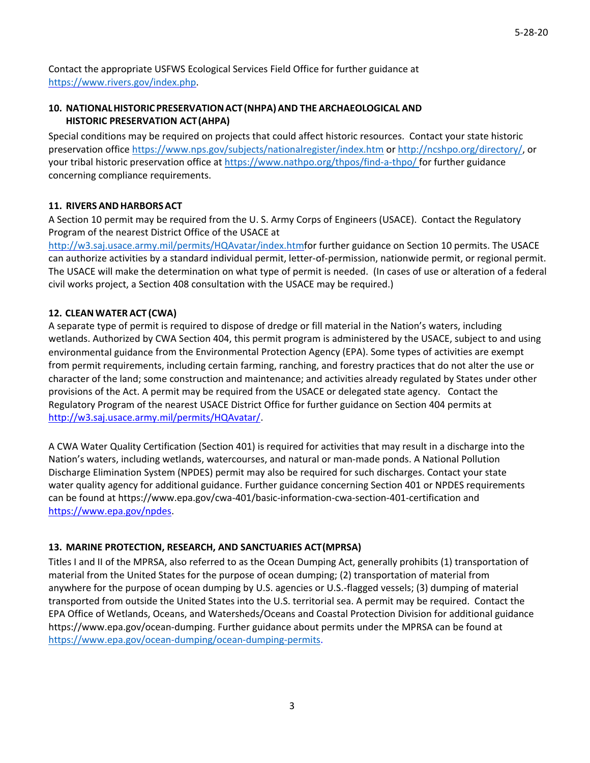Contact the appropriate USFWS Ecological Services Field Office for further guidance at [https://www.rivers.gov/index.php.](https://www.rivers.gov/index.php)

## **10. NATIONALHISTORICPRESERVATIONACT (NHPA)AND THE ARCHAEOLOGICAL AND HISTORIC PRESERVATION ACT(AHPA)**

Special conditions may be required on projects that could affect historic resources. Contact your state historic preservation office<https://www.nps.gov/subjects/nationalregister/index.htm> or [http://ncshpo.org/directory/,](http://ncshpo.org/directory/) or your tribal historic preservation office at<https://www.nathpo.org/thpos/find-a-thpo/> for further guidance concerning compliance requirements.

## **11. RIVERS ANDHARBORSACT**

A Section 10 permit may be required from the U. S. Army Corps of Engineers (USACE). Contact the Regulatory Program of the nearest District Office of the USACE at

[http://w3.saj.usace.army.mil/permits/HQAvatar/index.htmf](http://w3.saj.usace.army.mil/permits/HQAvatar/index.htm)or further guidance on Section 10 permits. The USACE can authorize activities by a standard individual permit, letter‐of‐permission, nationwide permit, or regional permit. The USACE will make the determination on what type of permit is needed. (In cases of use or alteration of a federal civil works project, a Section 408 consultation with the USACE may be required.)

## **12. CLEAN WATERACT (CWA)**

A separate type of permit is required to dispose of dredge or fill material in the Nation's waters, including wetlands. Authorized by CWA Section 404, this permit program is administered by the USACE, subject to and using environmental guidance from the Environmental Protection Agency (EPA). Some types of activities are exempt from permit requirements, including certain farming, ranching, and forestry practices that do not alter the use or character of the land; some construction and maintenance; and activities already regulated by States under other provisions of the Act. A permit may be required from the USACE or delegated state agency. Contact the Regulatory Program of the nearest USACE District Office for further guidance on Section 404 permits at [http://w3.saj.usace.army.mil/permits/HQAvatar/.](http://w3.saj.usace.army.mil/permits/HQAvatar/)

A CWA Water Quality Certification (Section 401) is required for activities that may result in a discharge into the Nation's waters, including wetlands, watercourses, and natural or man‐made ponds. A National Pollution Discharge Elimination System (NPDES) permit may also be required for such discharges. Contact your state water quality agency for additional guidance. Further guidance concerning Section 401 or NPDES requirements can be found at https://www.epa.gov/cwa-401/basic-information-cwa-section-401-certification and [https://www.epa.gov/npdes.](http://www.epa.gov/npdes)

## **13. MARINE PROTECTION, RESEARCH, AND SANCTUARIES ACT(MPRSA)**

Titles I and II of the MPRSA, also referred to as the Ocean Dumping Act, generally prohibits (1) transportation of material from the United States for the purpose of ocean dumping; (2) transportation of material from anywhere for the purpose of ocean dumping by U.S. agencies or U.S.-flagged vessels; (3) dumping of material transported from outside the United States into the U.S. territorial sea. A permit may be required. Contact the EPA Office of Wetlands, Oceans, and Watersheds/Oceans and Coastal Protection Division for additional guidance https://www.epa.gov/ocean-dumping. Further guidance about permits under the MPRSA can be found at [https://www.epa.gov/ocean-dumping/ocean-dumping-permits.](https://www.epa.gov/ocean-dumping/ocean-dumping-permits)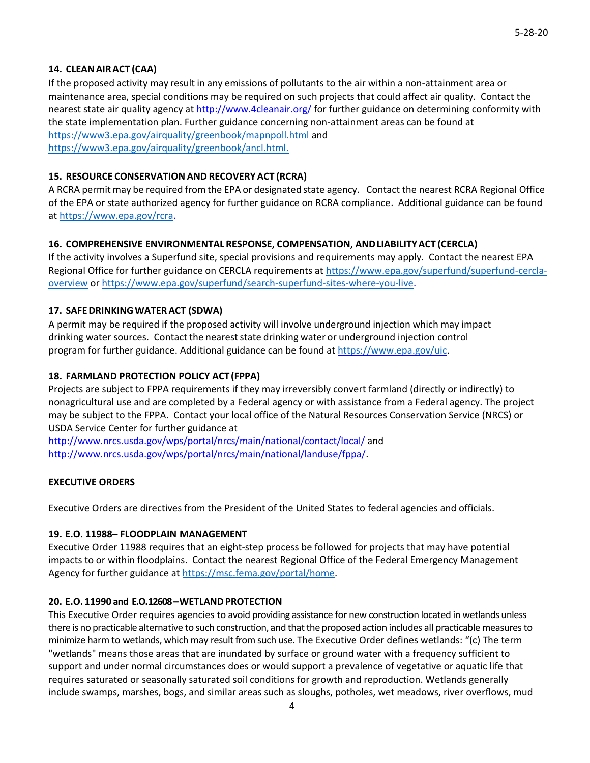#### **14. CLEANAIRACT (CAA)**

If the proposed activity may result in any emissions of pollutants to the air within a non-attainment area or maintenance area, special conditions may be required on such projects that could affect air quality. Contact the nearest state air quality agency at<http://www.4cleanair.org/> for further guidance on determining conformity with the state implementation plan. Further guidance concerning non-attainment areas can be found at <https://www3.epa.gov/airquality/greenbook/mapnpoll.html> and [https://www3.epa.gov/airquality/greenbook/ancl.html.](https://www3.epa.gov/airquality/greenbook/ancl.html)

#### **15. RESOURCE CONSERVATION AND RECOVERYACT (RCRA)**

A RCRA permit may be required from the EPA or designated state agency. Contact the nearest RCRA Regional Office of the EPA or state authorized agency for further guidance on RCRA compliance. Additional guidance can be found at [https://www.epa.gov/rcra.](https://www.epa.gov/rcra)

#### **16. COMPREHENSIVE ENVIRONMENTAL RESPONSE, COMPENSATION, ANDLIABILITYACT (CERCLA)**

If the activity involves a Superfund site, special provisions and requirements may apply. Contact the nearest EPA Regional Office for further guidance on CERCLA requirements at [https://www.epa.gov/superfund/superfund-cercla](https://www.epa.gov/superfund/superfund-cercla-overview)[overview](https://www.epa.gov/superfund/superfund-cercla-overview) or [https://www.epa.gov/superfund/search-superfund-sites-where-you-live.](https://www.epa.gov/superfund/search-superfund-sites-where-you-live)

#### **17. SAFEDRINKINGWATERACT (SDWA)**

A permit may be required if the proposed activity will involve underground injection which may impact drinking water sources. Contact the nearest state drinking water or underground injection control program for further guidance. Additional guidance can be found a[t https://www.epa.gov/uic.](https://www.epa.gov/uic)

#### **18. FARMLAND PROTECTION POLICY ACT (FPPA)**

Projects are subject to FPPA requirements if they may irreversibly convert farmland (directly or indirectly) to nonagricultural use and are completed by a Federal agency or with assistance from a Federal agency. The project may be subject to the FPPA. Contact your local office of the Natural Resources Conservation Service (NRCS) or USDA Service Center for further guidance at

<http://www.nrcs.usda.gov/wps/portal/nrcs/main/national/contact/local/> and [http://www.nrcs.usda.gov/wps/portal/nrcs/main/national/landuse/fppa/.](http://www.nrcs.usda.gov/wps/portal/nrcs/main/national/landuse/fppa/)

### **EXECUTIVE ORDERS**

Executive Orders are directives from the President of the United States to federal agencies and officials.

#### **19. E.O. 11988– FLOODPLAIN MANAGEMENT**

Executive Order 11988 requires that an eight‐step process be followed for projects that may have potential impacts to or within floodplains. Contact the nearest Regional Office of the Federal Emergency Management Agency for further guidance at [https://msc.fema.gov/portal/home.](https://msc.fema.gov/portal/home)

#### **20. E.O. 11990 and E.O.12608–WETLANDPROTECTION**

This Executive Order requires agencies to avoid providing assistance for new construction located in wetlands unless there is no practicable alternative to such construction, and that the proposed action includes all practicable measures to minimize harm to wetlands, which may result from such use. The Executive Order defines wetlands: "(c) The term "wetlands" means those areas that are inundated by surface or ground water with a frequency sufficient to support and under normal circumstances does or would support a prevalence of vegetative or aquatic life that requires saturated or seasonally saturated soil conditions for growth and reproduction. Wetlands generally include swamps, marshes, bogs, and similar areas such as sloughs, potholes, wet meadows, river overflows, mud